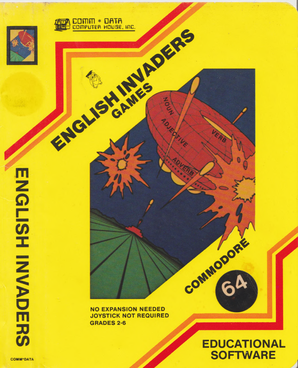



**NO EXPANSION NEEDED JOYSTICK NOT REQUIRED GRADES 2-6** 

# **EDUCATIONAL SOFTWARE**

COMMODORE

**MANAMADERS**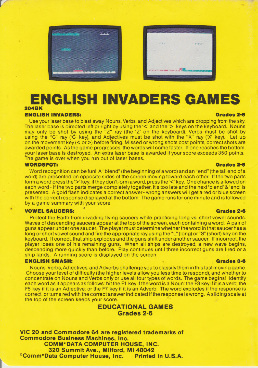



# **ENGLISH INVADERS GAMES**

## **2 0 4 BK**

### **ENGLISH INVADERS: Grades 2-6**

Use your laser base to blast away Nouns, Verbs, and Adjectives which are dropping from the sky. The laser base is directed left or right by using the '<' and the '>' keys on the keyboard. Nouns may only be shot by using the  $\frac{1}{2}$ " ray (the 'Z' on the keyboard). Verbs must be shot by using the "C" ray ('C' key), and Adjectives must be shot with the "X" ray ('X' key). Let up on the movement key  $(<$  or  $>$ ) before firing. Missed or wrong shots cost points, correct shots are awarded points. As the game progresses, the words will come faster. If one reaches the bottom, your laser base is destroyed. An extra laser base is awarded it your score exceeds 350 points. The game is over when you run out of laser bases.

### **WORDSPOT: Grades 2-6**

Word recognition can be fun! A "blend" (the beginning of a word) and an "end" (the tail end of a word) are presented on opposite sides of the screen moving toward each other. If the two parts form a word press the '>' key; if they don't form a word, press the '<' key. One chance is allowed on each word - if the two parts merge completely together, it's too late and the next'blend' & 'end' is presented. A gold flash indicates a correct answer- wrong answers will get a red or blue screen with the correct response displayed at the bottom. The game runs for one minute and is followed by a game summary with your score.

#### **VOWEL SAUCERS: ' Grades 2-6**

Protect the Earth from invading flying saucers while practicing long vs. short vowel sounds. Waves of descending saucers appear at the top of the screen, each containing a word. A pair of guns appear under one saucer. The player must determine whether the word in that saucer has a long or short vowel sound and fire the appropriate ray using the "L" (long) or "S" (short) key on the keyboard. If correct, that ship explodes and the guns shift under another saucer. If incorrect, the player loses one of his remaining guns. When all ships are destroyed, a new wave begins, descending more quickly than before. Play continues until three incorrect guns are fired or a ship lands. A running score is displayed on the screen.

### **ENGLISH SMASH: Grades 3-6**

Nouns, Verbs, Adjectives, and Adverbs challengeyou toclassify them in this fast moving game. Choose your level of difficulty (the higher levels allow you less time to respond), and whether to concentrate on Nouns and Verbs only or use all four types of words. The game begins! Identify each word as it appears as follows: hit the F1 key if the word is a Noun: the F3 key if it is a verb; the F5 key if it is an Adjective; or the F7 key if it is an Adverb. The word explodes if the response is correct, or turns red with the correct answer indicated if the response is wrong. A sliding scale at the top of the screen keeps your score.

## **EDUCATIONAL GAMES Grades 2-6**

**VIC 20 and Commodore 64 are registered trademarks of Commodore Business Machines, Inc. COMM\*DATA COMPUTER HOUSE, INC. 320 Summit Ave., Milford, MI 48042 ®Comm\*Data Computer House, Inc. Printed in U.S.A.**